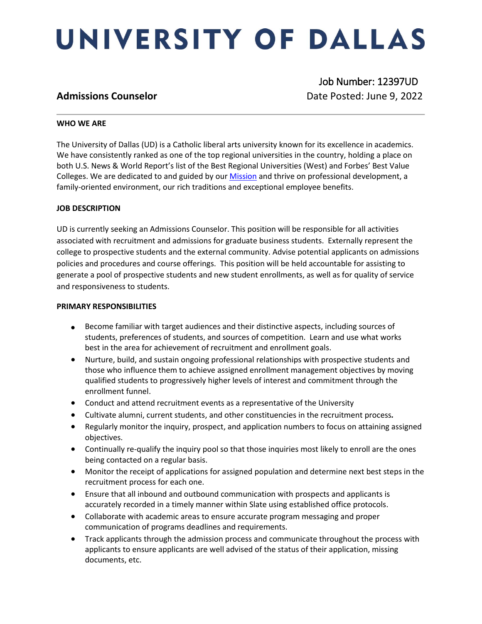# UNIVERSITY OF DALLAS

 Job Number: 12397UD **Admissions Counselor Date Posted: June 9, 2022** 

#### **WHO WE ARE**

The University of Dallas (UD) is a Catholic liberal arts university known for its excellence in academics. We have consistently ranked as one of the top regional universities in the country, holding a place on both U.S. News & World Report's list of the Best Regional Universities (West) and Forbes' Best Value Colleges. We are dedicated to and guided by ou[r Mission](https://www.udallas.edu/about/mission.php) and thrive on professional development, a family-oriented environment, our rich traditions and exceptional employee benefits.

### **JOB DESCRIPTION**

UD is currently seeking an Admissions Counselor. This position will be responsible for all activities associated with recruitment and admissions for graduate business students. Externally represent the college to prospective students and the external community. Advise potential applicants on admissions policies and procedures and course offerings. This position will be held accountable for assisting to generate a pool of prospective students and new student enrollments, as well as for quality of service and responsiveness to students.

#### **PRIMARY RESPONSIBILITIES**

- Become familiar with target audiences and their distinctive aspects, including sources of students, preferences of students, and sources of competition. Learn and use what works best in the area for achievement of recruitment and enrollment goals.
- Nurture, build, and sustain ongoing professional relationships with prospective students and those who influence them to achieve assigned enrollment management objectives by moving qualified students to progressively higher levels of interest and commitment through the enrollment funnel.
- Conduct and attend recruitment events as a representative of the University
- Cultivate alumni, current students, and other constituencies in the recruitment process*.*
- Regularly monitor the inquiry, prospect, and application numbers to focus on attaining assigned objectives.
- Continually re-qualify the inquiry pool so that those inquiries most likely to enroll are the ones being contacted on a regular basis.
- Monitor the receipt of applications for assigned population and determine next best steps in the recruitment process for each one.
- Ensure that all inbound and outbound communication with prospects and applicants is accurately recorded in a timely manner within Slate using established office protocols.
- Collaborate with academic areas to ensure accurate program messaging and proper communication of programs deadlines and requirements.
- Track applicants through the admission process and communicate throughout the process with applicants to ensure applicants are well advised of the status of their application, missing documents, etc.